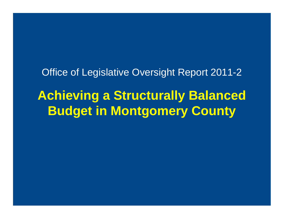Office of Legislative Oversight Report 2011-2

**Achieving a Structurally Balanced Budget in Montgomery County**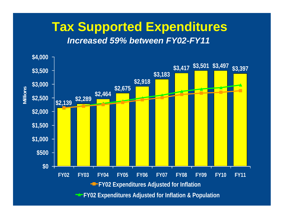### **Tax Supported Expenditures**

#### **Increased 59% between FY02-FY11**

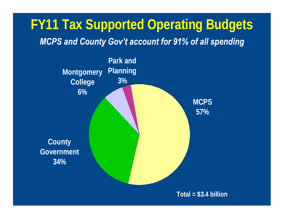## **FY11 Tax Supported Operating Budgets**

#### **MCPS and County Gov't account for 91% of all spending**

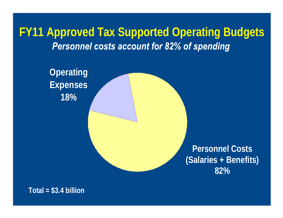**FY11 Approved Tax Supported Operating Budgets Personnel costs account for 82% of spending** 

**Operating** *Constitution Constitution Constitution Constitution Constitution Constitution Constitution Constitution Constitution Constitution Constitution Constitution Constitution Constitution Constitution Constitution* **Expenses** and the set of the set of the set of the set of the set of the set of the set of the set of the set of the set of the set of the set of the set of the set of the set of the set of the set of the set of the set o **18% Personnel Costs (Salaries + Benefits) 82%**

**Total = \$3.4 billion**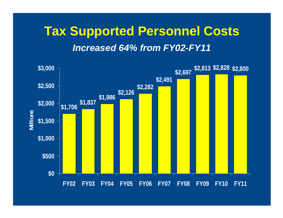### **Tax Supported Personnel Costs Increased 64% from FY02-FY11**

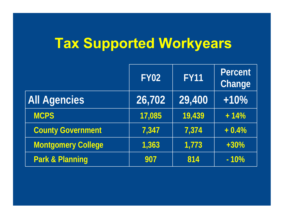# **Tax Supported Workyears**

|                            | <b>FY02</b> | <b>FY11</b> | <b>Percent</b><br><b>Change</b> |
|----------------------------|-------------|-------------|---------------------------------|
| <b>All Agencies</b>        | 26,702      | 29,400      | $+10%$                          |
| <b>MCPS</b>                | 17,085      | 19,439      | $+14%$                          |
| <b>County Government</b>   | 7,347       | 7,374       | $+0.4%$                         |
| <b>Montgomery College</b>  | 1,363       | 1,773       | $+30%$                          |
| <b>Park &amp; Planning</b> | 907         | 814         | $-10%$                          |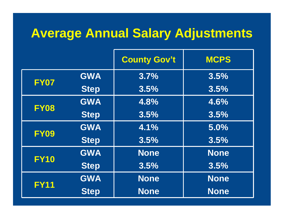### **Average Annual Salary Adjustments**

|             |             | <b>County Gov't</b> | <b>MCPS</b> |
|-------------|-------------|---------------------|-------------|
| <b>FY07</b> | <b>GWA</b>  | 3.7%                | 3.5%        |
|             | <b>Step</b> | 3.5%                | 3.5%        |
|             | <b>GWA</b>  | 4.8%                | 4.6%        |
| <b>FY08</b> | <b>Step</b> | 3.5%                | 3.5%        |
|             | <b>GWA</b>  | 4.1%                | 5.0%        |
| <b>FY09</b> | <b>Step</b> | 3.5%                | 3.5%        |
|             | <b>GWA</b>  | <b>None</b>         | <b>None</b> |
| <b>FY10</b> | <b>Step</b> | 3.5%                | 3.5%        |
|             | <b>GWA</b>  | <b>None</b>         | <b>None</b> |
| <b>FY11</b> | <b>Step</b> | <b>None</b>         | <b>None</b> |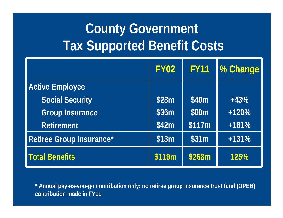# **County Government Tax Supported Benefit Costs**

|                          | <b>FY02</b> |        | FY11 % Change |
|--------------------------|-------------|--------|---------------|
| <b>Active Employee</b>   |             |        |               |
| <b>Social Security</b>   | \$28m       | \$40m  | $+43%$        |
| <b>Group Insurance</b>   | \$36m       | \$80m  | $+120%$       |
| <b>Retirement</b>        | \$42m       | \$117m | $+181%$       |
| Retiree Group Insurance* | \$13m       | \$31m  | $+131%$       |
| <b>Total Benefits</b>    | \$119m      | \$268m | 125%          |

**\* Annual pay-as-you-go contribution only; no retiree group insurance trust fund (OPEB) contribution made in FY11.**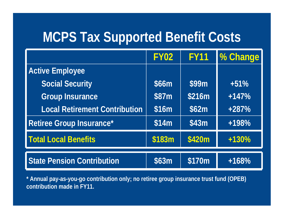### **MCPS Tax Supported Benefit Costs**

|                                      | <b>FY02</b> | <b>FY11</b> | <b>M</b> Change |
|--------------------------------------|-------------|-------------|-----------------|
| <b>Active Employee</b>               |             |             |                 |
| <b>Social Security</b>               | \$66m       | \$99m       | $+51%$          |
| <b>Group Insurance</b>               | \$87m       | \$216m      | $+147%$         |
| <b>Local Retirement Contribution</b> | \$16m       | \$62m       | $+287%$         |
| Retiree Group Insurance*             | \$14m       | \$43m       | +198%           |
| <b>Total Local Benefits</b>          | \$183m      | \$420m      | $+130%$         |
| <b>State Pension Contribution</b>    | \$63m       | \$170m      | $+168%$         |

**\* Annual pay-as-you-go contribution only; no retiree group insurance trust fund (OPEB) contribution made in FY11.**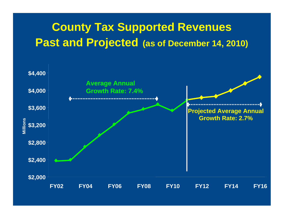#### **County Tax Supported Revenues Past and Projected (as of December 14, 2010)**

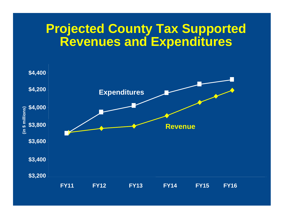#### **Projected County Tax Supported Revenues and Expenditures**

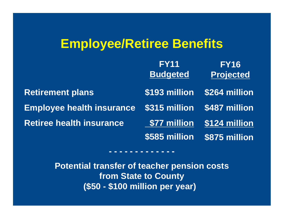### **Employee/Retiree Benefits**

|                                                       | <b>FY11</b>     | <b>FY16</b>                 |
|-------------------------------------------------------|-----------------|-----------------------------|
|                                                       | <b>Budgeted</b> | <b>Projected</b>            |
| <b>Retirement plans</b>                               |                 | \$193 million \$264 million |
| Employee health insurance \$315 million \$487 million |                 |                             |
| <b>Retiree health insurance</b>                       | \$77 million    | \$124 million               |
|                                                       | \$585 million   | \$875 million               |

**Potential transfer of teacher pension costs from State to County (\$50 - \$100 million per year)**

**- - - - - - - - - - - - -**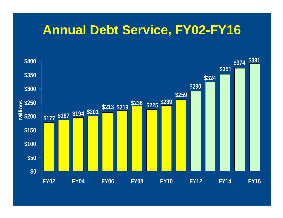#### **Annual Debt Service, FY02-FY16**

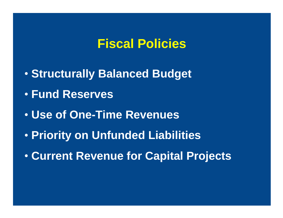#### **Fiscal Policies**

- **Structurally Balanced Budget**
- **Fund Reserves**
- **Use of One-Time Revenues**
- **Priority on Unfunded Liabilities**
- **Current Revenue for Capital Projects**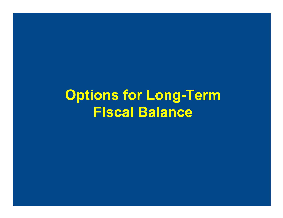# **Options for Long-Term Fiscal Balance**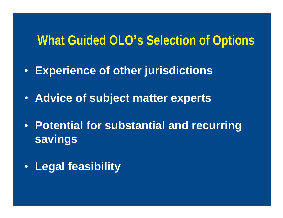#### **What Guided OLO s Selection of Options**

- **Experience of other jurisdictions**
- **Advice of subject matter experts**
- **Potential for substantial and recurring savings**
- **Legal feasibility**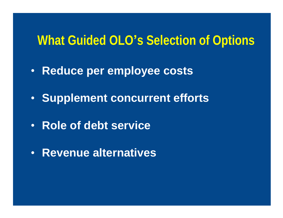#### **What Guided OLO s Selection of Options**

- **Reduce per employee costs**
- **Supplement concurrent efforts**
- **Role of debt service**
- **Revenue alternatives**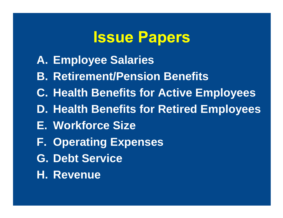# **Issue Papers**

- **A. Employee Salaries**
- **B. Retirement/Pension Benefits**
- **C. Health Benefits for Active Employees**
- **D. Health Benefits for Retired Employees**
- **E. Workforce Size**
- **F. Operating Expenses**
- **G. Debt Service**
- **H. Revenue**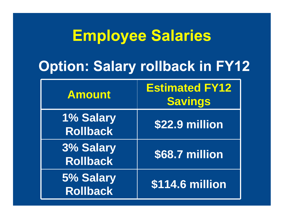# **Employee Salaries**

## **Option: Salary rollback in FY12**

| <b>Amount</b>                | <b>Estimated FY12</b><br><b>Savings</b> |
|------------------------------|-----------------------------------------|
| 1% Salary<br><b>Rollback</b> | \$22.9 million                          |
| 3% Salary<br><b>Rollback</b> | \$68.7 million                          |
| 5% Salary<br><b>Rollback</b> | <b>\$114.6 million</b>                  |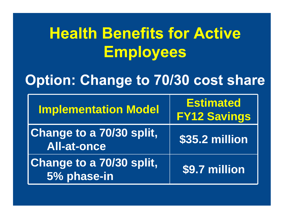# **Health Benefits for Active Employees**

### **Option: Change to 70/30 cost share**

| <b>Implementation Model</b>                           | <b>Estimated</b><br><b>FY12 Savings</b> |
|-------------------------------------------------------|-----------------------------------------|
| <b>Change to a 70/30 split,</b><br><b>All-at-once</b> | \$35.2 million                          |
| <b>Change to a 70/30 split,</b><br>5% phase-in        | \$9.7 million                           |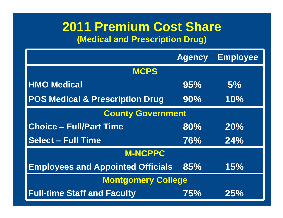#### **2011 Premium Cost Share (Medical and Prescription Drug)**

|                                              | <b>Agency</b> | Employee |
|----------------------------------------------|---------------|----------|
| <b>MCPS</b>                                  |               |          |
| <b>HMO Medical</b>                           | 95%           | 5%       |
| <b>POS Medical &amp; Prescription Drug</b>   | 90%           | 10%      |
| <b>County Government</b>                     |               |          |
| <b>Choice - Full/Part Time</b>               | 80%           | 20%      |
| <b>Select - Full Time</b>                    | 76%           | 24%      |
| <b>M-NCPPC</b>                               |               |          |
| <b>Employees and Appointed Officials 85%</b> |               | 15%      |
| <b>Montgomery College</b>                    |               |          |
| <b>Full-time Staff and Faculty</b>           | 75%           | 25%      |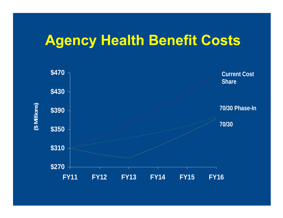## **Agency Health Benefit Costs**

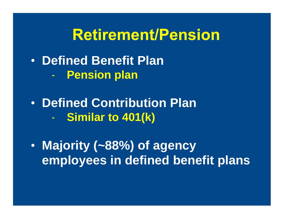## **Retirement/Pension**

- **Defined Benefit Plan**
	- **Pension plan**
- **Defined Contribution Plan** - **Similar to 401(k)**
- **Majority (~88%) of agency employees in defined benefit plans**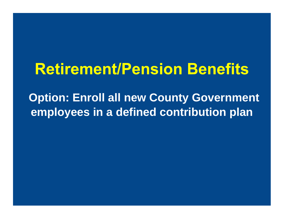# **Retirement/Pension Benefits**

**Option: Enroll all new County Government employees in a defined contribution plan**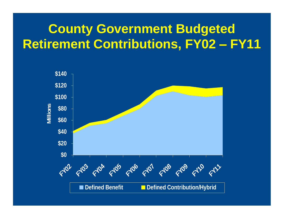### **County Government Budgeted Retirement Contributions, FY02 FY11**

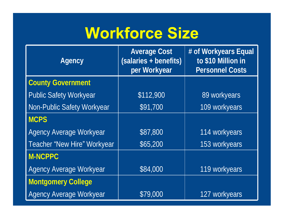# **Workforce Size**

| <b>Agency</b>                      | <b>Average Cost</b><br>(salaries + benefits)<br>per Workyear | # of Workyears Equal<br>to \$10 Million in<br><b>Personnel Costs</b> |
|------------------------------------|--------------------------------------------------------------|----------------------------------------------------------------------|
| <b>County Government</b>           |                                                              |                                                                      |
| <b>Public Safety Workyear</b>      | \$112,900                                                    | 89 workyears                                                         |
| <b>Non-Public Safety Workyear</b>  | \$91,700                                                     | 109 workyears                                                        |
| <b>MCPS</b>                        |                                                              |                                                                      |
| <b>Agency Average Workyear</b>     | \$87,800                                                     | 114 workyears                                                        |
| <b>Teacher "New Hire" Workyear</b> | \$65,200                                                     | 153 workyears                                                        |
| <b>M-NCPPC</b>                     |                                                              |                                                                      |
| <b>Agency Average Workyear</b>     | \$84,000                                                     | 119 workyears                                                        |
| <b>Montgomery College</b>          |                                                              |                                                                      |
| <b>Agency Average Workyear</b>     | \$79,000                                                     | 127 workyears                                                        |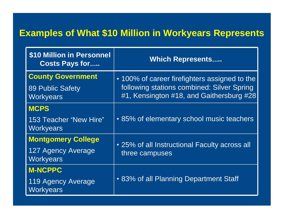#### **Examples of What \$10 Million in Workyears Represents**

| <b>\$10 Million in Personnel</b><br><b>Costs Pays for</b> | <b>Which Represents</b>                                                                     |
|-----------------------------------------------------------|---------------------------------------------------------------------------------------------|
| <b>County Government</b><br>89 Public Safety              | • 100% of career firefighters assigned to the<br>following stations combined: Silver Spring |
| Workyears                                                 | #1, Kensington #18, and Gaithersburg #28                                                    |
| <b>MCPS</b>                                               |                                                                                             |
| 153 Teacher "New Hire"<br>Workyears                       | • 85% of elementary school music teachers                                                   |
| Montgomery College                                        |                                                                                             |
| 127 Agency Average<br>Workyears                           | • 25% of all Instructional Faculty across all<br>three campuses                             |
| <b>M-NCPPC</b>                                            |                                                                                             |
| 119 Agency Average<br>Workyears                           | • 83% of all Planning Department Staff                                                      |